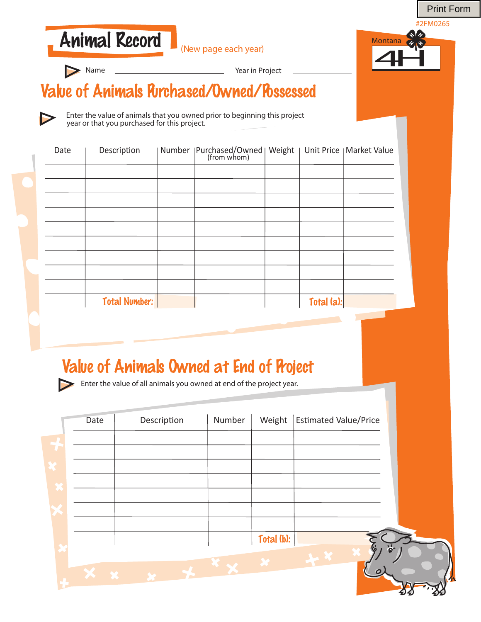Print Form

#2FM0265





**Name** 

Year in Project

#### Value of Animals Purchased/Owned/Possessed

Enter the value of animals that you owned prior to beginning this project year or that you purchased for this project.

| Date | Description          |  |            |  |
|------|----------------------|--|------------|--|
|      |                      |  |            |  |
|      |                      |  |            |  |
|      |                      |  |            |  |
|      |                      |  |            |  |
|      |                      |  |            |  |
|      |                      |  |            |  |
|      |                      |  |            |  |
|      |                      |  |            |  |
|      |                      |  |            |  |
|      | <b>Total Number:</b> |  | Total (a): |  |

#### Value of Animals Owned at End of Project

Enter the value of all animals you owned at end of the project year.

|                          | Date                     | Description | Number | Weight     | <b>Estimated Value/Price</b> |     |
|--------------------------|--------------------------|-------------|--------|------------|------------------------------|-----|
|                          |                          |             |        |            |                              |     |
|                          |                          |             |        |            |                              |     |
|                          |                          |             |        |            |                              |     |
| $\overline{\phantom{a}}$ |                          |             |        |            |                              |     |
|                          |                          |             |        |            |                              |     |
|                          |                          |             |        | Total (b): | 6                            | ፟ፘ፞ |
|                          | <b>The Second Second</b> |             |        |            | Ο                            |     |
|                          |                          |             |        |            |                              |     |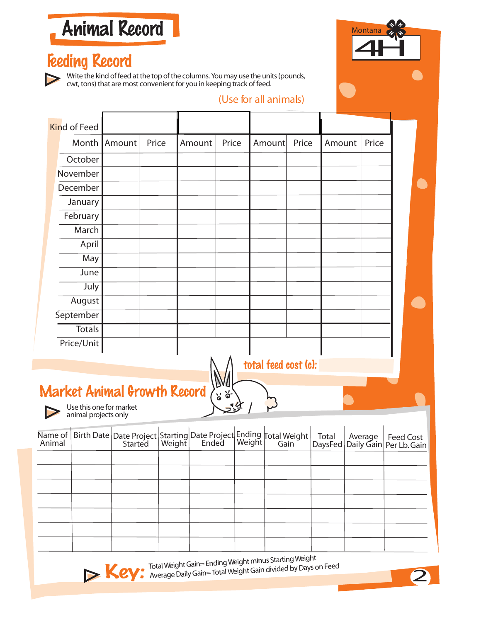Animal Record

#### Feeding Record

Write the kind of feed at the top of the columns. You may use the units (pounds, cwt, tons) that are most convenient for you in keeping track of feed.



#### (Use for all animals)

|         | <b>Kind of Feed</b>                |                         |       |                                                                                                             |                             |                      |       |         |                                      |                  |
|---------|------------------------------------|-------------------------|-------|-------------------------------------------------------------------------------------------------------------|-----------------------------|----------------------|-------|---------|--------------------------------------|------------------|
|         | Month                              | Amount                  | Price | Amount                                                                                                      | Price                       | Amount               | Price | Amount  | Price                                |                  |
|         | October                            |                         |       |                                                                                                             |                             |                      |       |         |                                      |                  |
|         | November                           |                         |       |                                                                                                             |                             |                      |       |         |                                      |                  |
|         | December                           |                         |       |                                                                                                             |                             |                      |       |         |                                      |                  |
|         | January                            |                         |       |                                                                                                             |                             |                      |       |         |                                      |                  |
|         | February                           |                         |       |                                                                                                             |                             |                      |       |         |                                      |                  |
|         | March                              |                         |       |                                                                                                             |                             |                      |       |         |                                      |                  |
|         | April                              |                         |       |                                                                                                             |                             |                      |       |         |                                      |                  |
|         | May                                |                         |       |                                                                                                             |                             |                      |       |         |                                      |                  |
|         | June                               |                         |       |                                                                                                             |                             |                      |       |         |                                      |                  |
|         | July                               |                         |       |                                                                                                             |                             |                      |       |         |                                      |                  |
|         | August                             |                         |       |                                                                                                             |                             |                      |       |         |                                      |                  |
|         | September                          |                         |       |                                                                                                             |                             |                      |       |         |                                      |                  |
|         | <b>Totals</b>                      |                         |       |                                                                                                             |                             |                      |       |         |                                      |                  |
|         | Price/Unit                         |                         |       |                                                                                                             |                             |                      |       |         |                                      |                  |
|         |                                    |                         |       |                                                                                                             |                             | total feed cost (c): |       |         |                                      |                  |
|         |                                    |                         |       |                                                                                                             |                             |                      |       |         |                                      |                  |
|         | <b>Market Animal Growth Record</b> |                         |       |                                                                                                             |                             |                      |       |         |                                      |                  |
|         |                                    | Use this one for market |       |                                                                                                             | $\frac{1}{6}$ $\frac{1}{6}$ |                      |       |         |                                      |                  |
|         | animal projects only               |                         |       |                                                                                                             |                             |                      |       |         |                                      |                  |
| Name of |                                    |                         |       |                                                                                                             |                             |                      |       | Total   |                                      |                  |
| Animal  |                                    |                         |       | Birth Date Date Project Starting Date Project Ending Total Weight<br>Started   Weight   Ended   Weight Gain |                             |                      |       | DaysFed | Average<br>Daily Gain   Per Lb. Gain | <b>Feed Cost</b> |
|         |                                    |                         |       |                                                                                                             |                             |                      |       |         |                                      |                  |
|         |                                    |                         |       |                                                                                                             |                             |                      |       |         |                                      |                  |
|         |                                    |                         |       |                                                                                                             |                             |                      |       |         |                                      |                  |
|         |                                    |                         |       |                                                                                                             |                             |                      |       |         |                                      |                  |
|         |                                    |                         |       |                                                                                                             |                             |                      |       |         |                                      |                  |
|         |                                    |                         |       |                                                                                                             |                             |                      |       |         |                                      |                  |
|         |                                    |                         |       |                                                                                                             |                             |                      |       |         |                                      |                  |

Total Weight Gain= Ending Weight minus Starting Weight<br>Average Daily Gain= Total Weight Gain divided by Days on Feed **Key:** Total Weight Gain= Ending Weight minus Starting Weight<br>Average Daily Gain= Total Weight Gain divided by Days on Feed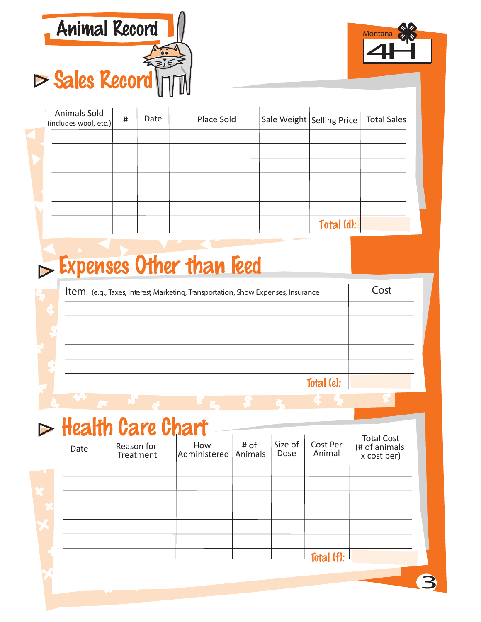



| Animals Sold<br>(includes wool, etc.) | # | Date | Place Sold | Sale Weight Selling Price | <b>Total Sales</b> |
|---------------------------------------|---|------|------------|---------------------------|--------------------|
|                                       |   |      |            |                           |                    |
|                                       |   |      |            |                           |                    |
|                                       |   |      |            |                           |                    |
|                                       |   |      |            |                           |                    |
|                                       |   |      |            |                           |                    |
|                                       |   |      |            |                           |                    |
|                                       |   |      |            | Total (d):                |                    |

# $\triangleright$  Expenses Other than Feed

| Item (e.g., Taxes, Interest, Marketing, Transportation, Show Expenses, Insurance | Cost |
|----------------------------------------------------------------------------------|------|
|                                                                                  |      |
|                                                                                  |      |
|                                                                                  |      |
|                                                                                  |      |
| Total $(e)$ :                                                                    |      |
|                                                                                  |      |

# $\triangleright$  Health Care Chart

| ► | Date | Reason for<br>Treatment | How<br>Administered | # of<br>Animals | Size of<br>Dose | Cost Per<br>Animal | <b>Total Cost</b><br>(# of animals<br>x cost per) |
|---|------|-------------------------|---------------------|-----------------|-----------------|--------------------|---------------------------------------------------|
|   |      |                         |                     |                 |                 |                    |                                                   |
|   |      |                         |                     |                 |                 |                    |                                                   |
|   |      |                         |                     |                 |                 |                    |                                                   |
|   |      |                         |                     |                 |                 |                    |                                                   |
|   |      |                         |                     |                 |                 |                    |                                                   |
|   |      |                         |                     |                 |                 |                    |                                                   |
|   |      |                         |                     |                 |                 | Total (f):         |                                                   |
|   |      |                         |                     |                 |                 |                    |                                                   |